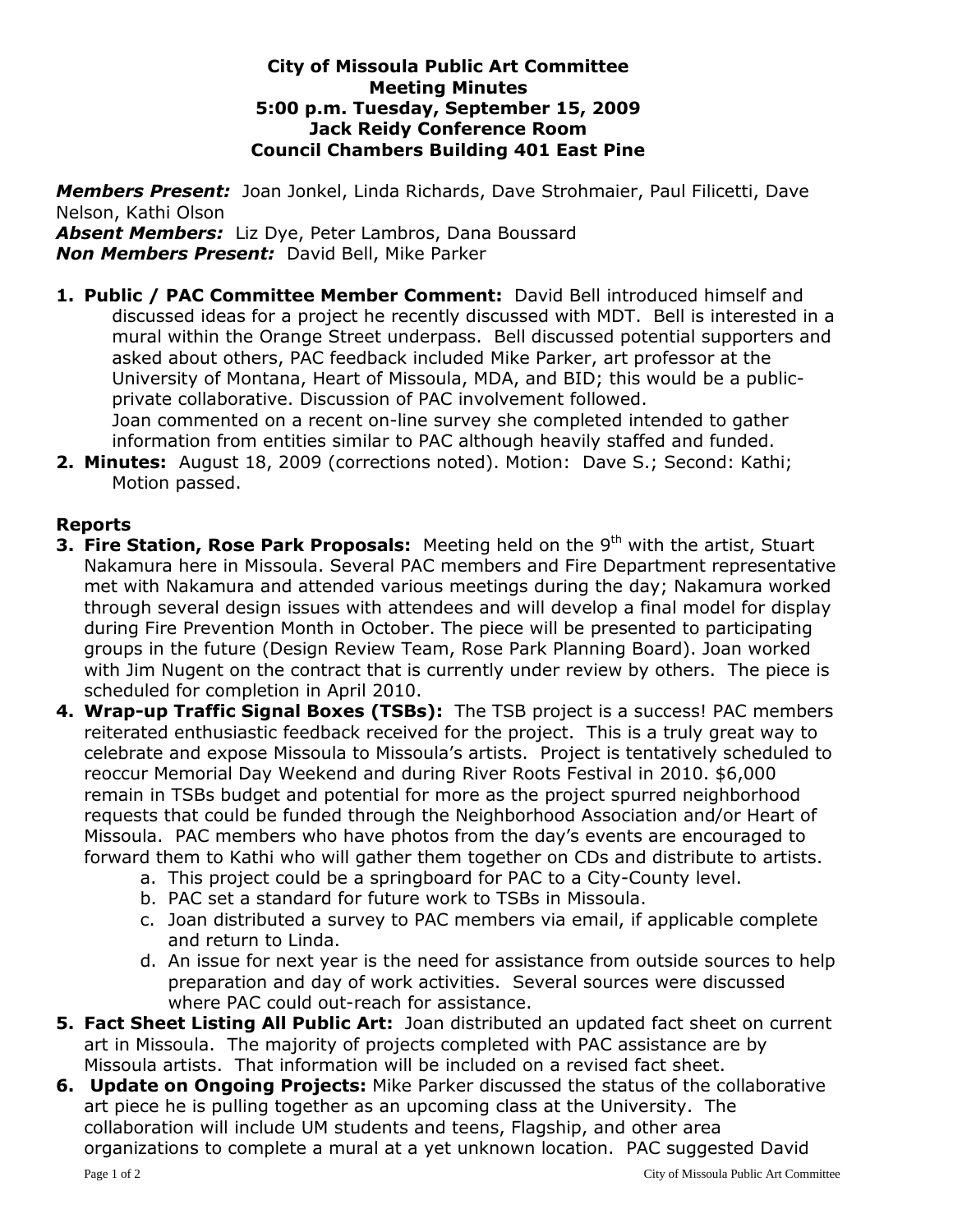## **City of Missoula Public Art Committee Meeting Minutes 5:00 p.m. Tuesday, September 15, 2009 Jack Reidy Conference Room Council Chambers Building 401 East Pine**

*Members Present:* Joan Jonkel, Linda Richards, Dave Strohmaier, Paul Filicetti, Dave Nelson, Kathi Olson

*Absent Members:* Liz Dye, Peter Lambros, Dana Boussard *Non Members Present:* David Bell, Mike Parker

- **1. Public / PAC Committee Member Comment:** David Bell introduced himself and discussed ideas for a project he recently discussed with MDT. Bell is interested in a mural within the Orange Street underpass. Bell discussed potential supporters and asked about others, PAC feedback included Mike Parker, art professor at the University of Montana, Heart of Missoula, MDA, and BID; this would be a publicprivate collaborative. Discussion of PAC involvement followed. Joan commented on a recent on-line survey she completed intended to gather information from entities similar to PAC although heavily staffed and funded.
- **2. Minutes:** August 18, 2009 (corrections noted). Motion: Dave S.; Second: Kathi; Motion passed.

## **Reports**

- **3. Fire Station, Rose Park Proposals:** Meeting held on the 9<sup>th</sup> with the artist, Stuart Nakamura here in Missoula. Several PAC members and Fire Department representative met with Nakamura and attended various meetings during the day; Nakamura worked through several design issues with attendees and will develop a final model for display during Fire Prevention Month in October. The piece will be presented to participating groups in the future (Design Review Team, Rose Park Planning Board). Joan worked with Jim Nugent on the contract that is currently under review by others. The piece is scheduled for completion in April 2010.
- **4. Wrap-up Traffic Signal Boxes (TSBs):** The TSB project is a success! PAC members reiterated enthusiastic feedback received for the project. This is a truly great way to celebrate and expose Missoula to Missoula's artists. Project is tentatively scheduled to reoccur Memorial Day Weekend and during River Roots Festival in 2010. \$6,000 remain in TSBs budget and potential for more as the project spurred neighborhood requests that could be funded through the Neighborhood Association and/or Heart of Missoula. PAC members who have photos from the day's events are encouraged to forward them to Kathi who will gather them together on CDs and distribute to artists.
	- a. This project could be a springboard for PAC to a City-County level.
	- b. PAC set a standard for future work to TSBs in Missoula.
	- c. Joan distributed a survey to PAC members via email, if applicable complete and return to Linda.
	- d. An issue for next year is the need for assistance from outside sources to help preparation and day of work activities. Several sources were discussed where PAC could out-reach for assistance.
- **5. Fact Sheet Listing All Public Art:** Joan distributed an updated fact sheet on current art in Missoula. The majority of projects completed with PAC assistance are by Missoula artists. That information will be included on a revised fact sheet.
- **6. Update on Ongoing Projects:** Mike Parker discussed the status of the collaborative art piece he is pulling together as an upcoming class at the University. The collaboration will include UM students and teens, Flagship, and other area organizations to complete a mural at a yet unknown location. PAC suggested David